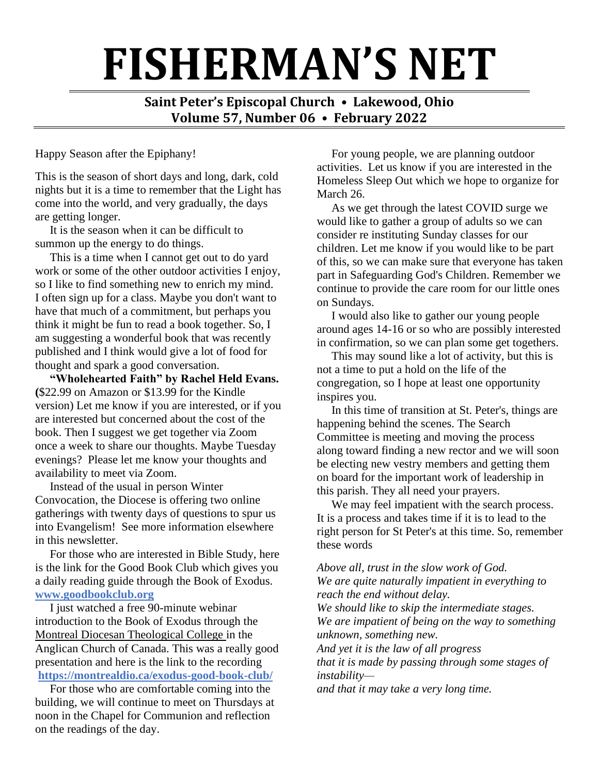## **FISHERMAN'S NET**

**Saint Peter's Episcopal Church • Lakewood, Ohio Volume 57, Number 06 • February 2022**

Happy Season after the Epiphany!

This is the season of short days and long, dark, cold nights but it is a time to remember that the Light has come into the world, and very gradually, the days are getting longer.

 It is the season when it can be difficult to summon up the energy to do things.

 This is a time when I cannot get out to do yard work or some of the other outdoor activities I enjoy, so I like to find something new to enrich my mind. I often sign up for a class. Maybe you don't want to have that much of a commitment, but perhaps you think it might be fun to read a book together. So, I am suggesting a wonderful book that was recently published and I think would give a lot of food for thought and spark a good conversation.

 **"Wholehearted Faith" by Rachel Held Evans. (**\$22.99 on Amazon or \$13.99 for the Kindle version) Let me know if you are interested, or if you are interested but concerned about the cost of the book. Then I suggest we get together via Zoom once a week to share our thoughts. Maybe Tuesday evenings? Please let me know your thoughts and availability to meet via Zoom.

 Instead of the usual in person Winter Convocation, the Diocese is offering two online gatherings with twenty days of questions to spur us into Evangelism! See more information elsewhere in this newsletter.

 For those who are interested in Bible Study, here is the link for the Good Book Club which gives you a daily reading guide through the Book of Exodus. **[www.goodbookclub.org](http://www.goodbookclub.org/)**

 I just watched a free 90-minute webinar introduction to the Book of Exodus through the [Montreal Diocesan Theological College](https://na01.safelinks.protection.outlook.com/?url=https%3A%2F%2Fr20.rs6.net%2Ftn.jsp%3Ff%3D001GN4bNrfDka1qCr1-f0q6Vk8vBCK8dyXnmedS5R4lg5yeD7mw_1u-2yzhK2_KCwHtpKo8Yw4i9tw20twGwflUm47WcN7YHaW6UAIHr_pK1B4D98D3fZz-r8OWDMSNDHnynZMiEb4NBE7LNX-TFS0CUYenpnPIhEzzKhqki5pX-e8Zv6OZXzYyEp7mv329QLkP%26c%3DQbYdQ-TyUbtwHavMcbNF-40yswOE5lApRQp70TH-FgSILcXfcWtHlg%3D%3D%26ch%3DRnjc_7dYw4CY5qW1mVvpX_Y20nCNk8CVhn-GuPfQUSnQTUQPZg4Iig%3D%3D&data=04%7C01%7C%7Cb1a992b095b246d5d1df08d9d5bae131%7C84df9e7fe9f640afb435aaaaaaaaaaaa%7C1%7C0%7C637775820896283316%7CUnknown%7CTWFpbGZsb3d8eyJWIjoiMC4wLjAwMDAiLCJQIjoiV2luMzIiLCJBTiI6Ik1haWwiLCJXVCI6Mn0%3D%7C3000&sdata=00AFWYklY1XKjTAyqgioBE5LEuV5lPvsEGkLTbyXKcU%3D&reserved=0) in the Anglican Church of Canada. This was a really good presentation and here is the link to the recording **<https://montrealdio.ca/exodus-good-book-club/>**

 For those who are comfortable coming into the building, we will continue to meet on Thursdays at noon in the Chapel for Communion and reflection on the readings of the day.

 For young people, we are planning outdoor activities. Let us know if you are interested in the Homeless Sleep Out which we hope to organize for March 26.

 As we get through the latest COVID surge we would like to gather a group of adults so we can consider re instituting Sunday classes for our children. Let me know if you would like to be part of this, so we can make sure that everyone has taken part in Safeguarding God's Children. Remember we continue to provide the care room for our little ones on Sundays.

 I would also like to gather our young people around ages 14-16 or so who are possibly interested in confirmation, so we can plan some get togethers.

 This may sound like a lot of activity, but this is not a time to put a hold on the life of the congregation, so I hope at least one opportunity inspires you.

 In this time of transition at St. Peter's, things are happening behind the scenes. The Search Committee is meeting and moving the process along toward finding a new rector and we will soon be electing new vestry members and getting them on board for the important work of leadership in this parish. They all need your prayers.

 We may feel impatient with the search process. It is a process and takes time if it is to lead to the right person for St Peter's at this time. So, remember these words

*Above all, trust in the slow work of God. We are quite naturally impatient in everything to reach the end without delay. We should like to skip the intermediate stages. We are impatient of being on the way to something unknown, something new. And yet it is the law of all progress that it is made by passing through some stages of instability and that it may take a very long time.*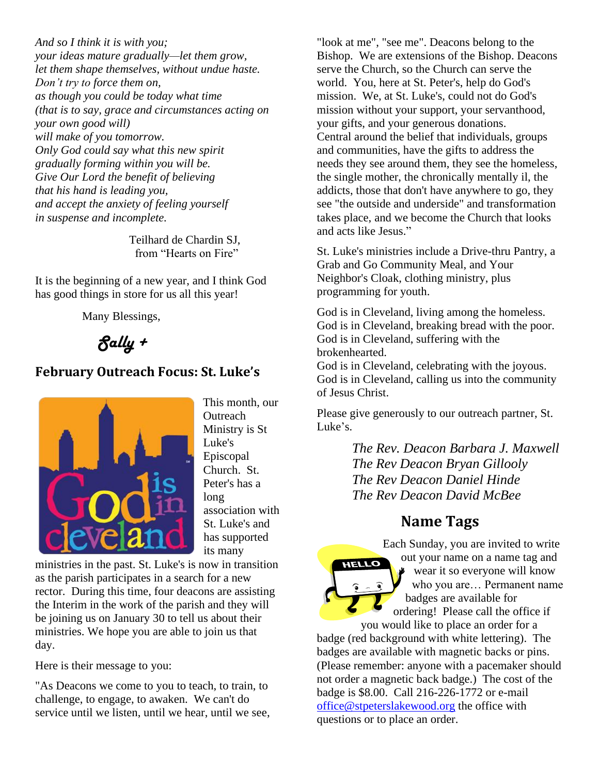*And so I think it is with you; your ideas mature gradually—let them grow, let them shape themselves, without undue haste. Don't try to force them on, as though you could be today what time (that is to say, grace and circumstances acting on your own good will) will make of you tomorrow. Only God could say what this new spirit gradually forming within you will be. Give Our Lord the benefit of believing that his hand is leading you, and accept the anxiety of feeling yourself in suspense and incomplete.*

> Teilhard de Chardin SJ, from "Hearts on Fire"

It is the beginning of a new year, and I think God has good things in store for us all this year!

Many Blessings,

 *Sally +*

#### **February Outreach Focus: St. Luke's**



This month, our **Outreach** Ministry is St Luke's Episcopal Church. St. Peter's has a long association with St. Luke's and has supported its many

ministries in the past. St. Luke's is now in transition as the parish participates in a search for a new rector. During this time, four deacons are assisting the Interim in the work of the parish and they will be joining us on January 30 to tell us about their ministries. We hope you are able to join us that day.

Here is their message to you:

"As Deacons we come to you to teach, to train, to challenge, to engage, to awaken. We can't do service until we listen, until we hear, until we see, "look at me", "see me". Deacons belong to the Bishop. We are extensions of the Bishop. Deacons serve the Church, so the Church can serve the world. You, here at St. Peter's, help do God's mission. We, at St. Luke's, could not do God's mission without your support, your servanthood, your gifts, and your generous donations. Central around the belief that individuals, groups and communities, have the gifts to address the needs they see around them, they see the homeless, the single mother, the chronically mentally il, the addicts, those that don't have anywhere to go, they see "the outside and underside" and transformation takes place, and we become the Church that looks and acts like Jesus."

St. Luke's ministries include a Drive-thru Pantry, a Grab and Go Community Meal, and Your Neighbor's Cloak, clothing ministry, plus programming for youth.

God is in Cleveland, living among the homeless. God is in Cleveland, breaking bread with the poor. God is in Cleveland, suffering with the brokenhearted.

God is in Cleveland, celebrating with the joyous. God is in Cleveland, calling us into the community of Jesus Christ.

Please give generously to our outreach partner, St. Luke's.

> *The Rev. Deacon Barbara J. Maxwell The Rev Deacon Bryan Gillooly The Rev Deacon Daniel Hinde The Rev Deacon David McBee*

#### **Name Tags**

**HELLO** 

Each Sunday, you are invited to write out your name on a name tag and wear it so everyone will know who you are… Permanent name badges are available for ordering! Please call the office if

you would like to place an order for a badge (red background with white lettering). The badges are available with magnetic backs or pins. (Please remember: anyone with a pacemaker should not order a magnetic back badge.) The cost of the badge is \$8.00. Call 216-226-1772 or e-mail [office@stpeterslakewood.org](mailto:office@stpeterslakewood.org) the office with questions or to place an order.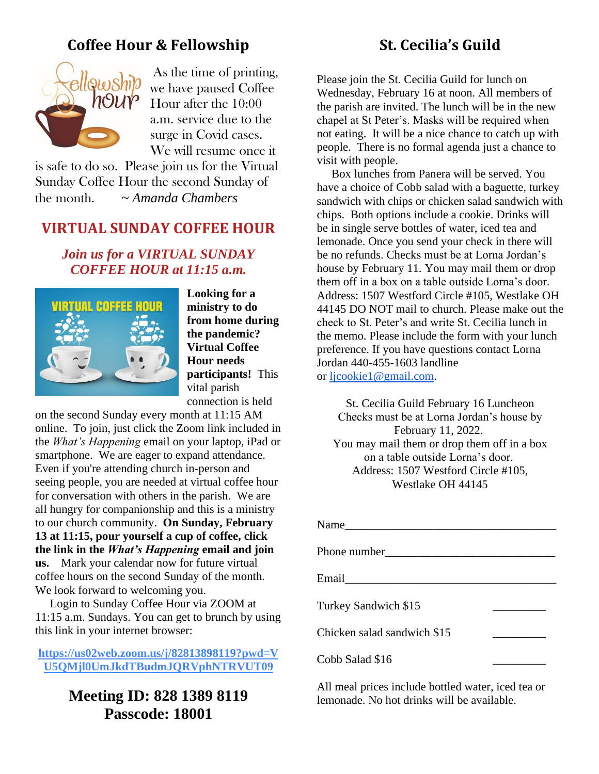#### **Coffee Hour & Fellowship**

# $ll$ owship

As the time of printing, we have paused Coffee Hour after the 10:00 a.m. service due to the surge in Covid cases. We will resume once it

is safe to do so. Please join us for the Virtual Sunday Coffee Hour the second Sunday of the month. *~ Amanda Chambers*

#### **VIRTUAL SUNDAY COFFEE HOUR**

*Join us for a VIRTUAL SUNDAY COFFEE HOUR at 11:15 a.m.*



**Looking for a ministry to do from home during the pandemic? Virtual Coffee Hour needs participants!** This vital parish connection is held

on the second Sunday every month at 11:15 AM online. To join, just click the Zoom link included in the *What's Happening* email on your laptop, iPad or smartphone. We are eager to expand attendance. Even if you're attending church in-person and seeing people, you are needed at virtual coffee hour for conversation with others in the parish. We are all hungry for companionship and this is a ministry to our church community. **On Sunday, February 13 at 11:15, pour yourself a cup of coffee, click the link in the** *What's Happening* **email and join us.** Mark your calendar now for future virtual coffee hours on the second Sunday of the month. We look forward to welcoming you.

 Login to Sunday Coffee Hour via ZOOM at 11:15 a.m. Sundays. You can get to brunch by using this link in your internet browser:

**[https://us02web.zoom.us/j/82813898119?pwd=V](https://us02web.zoom.us/j/82813898119?pwd=VU5QMjl0UmJkdTBudmJQRVphNTRVUT09) [U5QMjl0UmJkdTBudmJQRVphNTRVUT09](https://us02web.zoom.us/j/82813898119?pwd=VU5QMjl0UmJkdTBudmJQRVphNTRVUT09)**

#### **Meeting ID: 828 1389 8119 Passcode: 18001**

#### **St. Cecilia's Guild**

Please join the St. Cecilia Guild for lunch on Wednesday, February 16 at noon. All members of the parish are invited. The lunch will be in the new chapel at St Peter's. Masks will be required when not eating. It will be a nice chance to catch up with people. There is no formal agenda just a chance to visit with people.

 Box lunches from Panera will be served. You have a choice of Cobb salad with a baguette, turkey sandwich with chips or chicken salad sandwich with chips. Both options include a cookie. Drinks will be in single serve bottles of water, iced tea and lemonade. Once you send your check in there will be no refunds. Checks must be at Lorna Jordan's house by February 11. You may mail them or drop them off in a box on a table outside Lorna's door. Address: 1507 Westford Circle #105, Westlake OH 44145 DO NOT mail to church. Please make out the check to St. Peter's and write St. Cecilia lunch in the memo. Please include the form with your lunch preference. If you have questions contact Lorna Jordan 440-455-1603 landline or [ljcookie1@gmail.com.](mailto:ljcookie1@gmail.com)

St. Cecilia Guild February 16 Luncheon Checks must be at Lorna Jordan's house by February 11, 2022. You may mail them or drop them off in a box on a table outside Lorna's door. Address: 1507 Westford Circle #105, Westlake OH 44145

| Name                        |  |
|-----------------------------|--|
| Phone number                |  |
|                             |  |
| Turkey Sandwich \$15        |  |
| Chicken salad sandwich \$15 |  |
| Cobb Salad \$16             |  |

All meal prices include bottled water, iced tea or lemonade. No hot drinks will be available.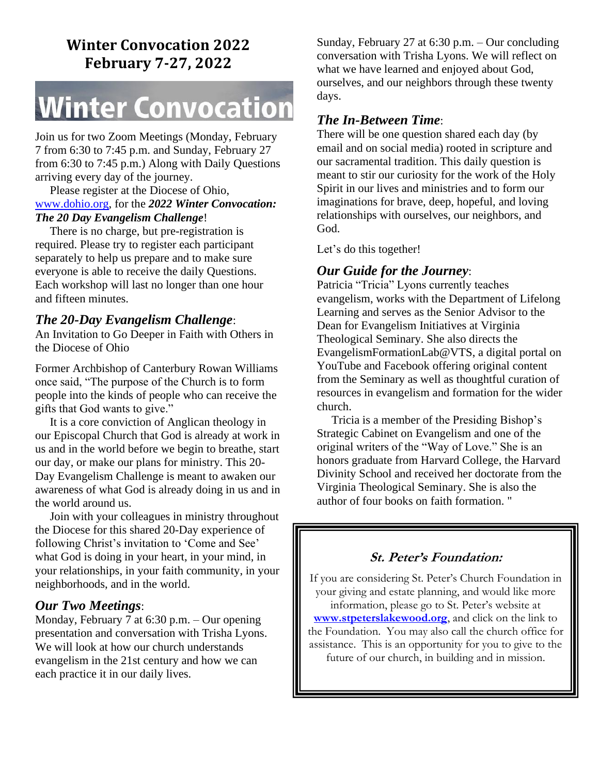#### **Winter Convocation 2022 February 7-27, 2022**

### **Winter Convocation**

Join us for two Zoom Meetings (Monday, February 7 from 6:30 to 7:45 p.m. and Sunday, February 27 from 6:30 to 7:45 p.m.) Along with Daily Questions arriving every day of the journey.

#### Please register at the Diocese of Ohio, [www.dohio.org,](http://www.dohio.org/) for the *2022 Winter Convocation: The 20 Day Evangelism Challenge*!

 There is no charge, but pre-registration is required. Please try to register each participant separately to help us prepare and to make sure everyone is able to receive the daily Questions. Each workshop will last no longer than one hour and fifteen minutes.

#### *The 20-Day Evangelism Challenge*:

An Invitation to Go Deeper in Faith with Others in the Diocese of Ohio

Former Archbishop of Canterbury Rowan Williams once said, "The purpose of the Church is to form people into the kinds of people who can receive the gifts that God wants to give."

 It is a core conviction of Anglican theology in our Episcopal Church that God is already at work in us and in the world before we begin to breathe, start our day, or make our plans for ministry. This 20- Day Evangelism Challenge is meant to awaken our awareness of what God is already doing in us and in the world around us.

 Join with your colleagues in ministry throughout the Diocese for this shared 20-Day experience of following Christ's invitation to 'Come and See' what God is doing in your heart, in your mind, in your relationships, in your faith community, in your neighborhoods, and in the world.

#### *Our Two Meetings*:

Monday, February 7 at 6:30 p.m. – Our opening presentation and conversation with Trisha Lyons. We will look at how our church understands evangelism in the 21st century and how we can each practice it in our daily lives.

Sunday, February 27 at 6:30 p.m. – Our concluding conversation with Trisha Lyons. We will reflect on what we have learned and enjoyed about God, ourselves, and our neighbors through these twenty days.

#### *The In-Between Time*:

There will be one question shared each day (by email and on social media) rooted in scripture and our sacramental tradition. This daily question is meant to stir our curiosity for the work of the Holy Spirit in our lives and ministries and to form our imaginations for brave, deep, hopeful, and loving relationships with ourselves, our neighbors, and God.

Let's do this together!

#### *Our Guide for the Journey*:

Patricia "Tricia" Lyons currently teaches evangelism, works with the Department of Lifelong Learning and serves as the Senior Advisor to the Dean for Evangelism Initiatives at Virginia Theological Seminary. She also directs the EvangelismFormationLab@VTS, a digital portal on YouTube and Facebook offering original content from the Seminary as well as thoughtful curation of resources in evangelism and formation for the wider church.

 Tricia is a member of the Presiding Bishop's Strategic Cabinet on Evangelism and one of the original writers of the "Way of Love." She is an honors graduate from Harvard College, the Harvard Divinity School and received her doctorate from the Virginia Theological Seminary. She is also the author of four books on faith formation. "

#### **St. Peter's Foundation:**

If you are considering St. Peter's Church Foundation in your giving and estate planning, and would like more information, please go to St. Peter's website at **[www.stpeterslakewood.org](http://www.stpeterslakewood.org/)**, and click on the link to the Foundation. You may also call the church office for assistance. This is an opportunity for you to give to the future of our church, in building and in mission.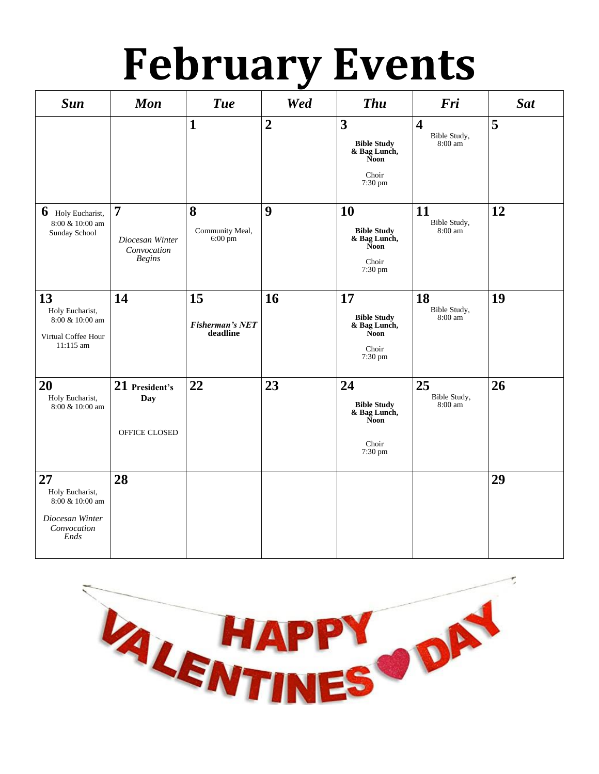## **February Events**

| <b>Sun</b>                                                                         | <b>Mon</b>                                                        | <b>Tue</b>                                | Wed            | <b>Thu</b>                                                                                       | Fri                                                | <b>Sat</b> |
|------------------------------------------------------------------------------------|-------------------------------------------------------------------|-------------------------------------------|----------------|--------------------------------------------------------------------------------------------------|----------------------------------------------------|------------|
|                                                                                    |                                                                   | $\mathbf{1}$                              | $\overline{2}$ | $\overline{\mathbf{3}}$<br><b>Bible Study</b><br>& Bag Lunch,<br><b>Noon</b><br>Choir<br>7:30 pm | $\overline{\mathbf{4}}$<br>Bible Study,<br>8:00 am | 5          |
| <b>6</b> Holy Eucharist,<br>8:00 & 10:00 am<br>Sunday School                       | $\overline{7}$<br>Diocesan Winter<br>Convocation<br><b>Begins</b> | 8<br>Community Meal,<br>$6:00 \text{ pm}$ | 9              | 10<br><b>Bible Study</b><br>& Bag Lunch,<br><b>Noon</b><br>Choir<br>7:30 pm                      | 11<br>Bible Study,<br>8:00 am                      | 12         |
| 13<br>Holy Eucharist,<br>8:00 & 10:00 am<br>Virtual Coffee Hour<br>11:115 am       | 14                                                                | 15<br><b>Fisherman's NET</b><br>deadline  | 16             | 17<br><b>Bible Study</b><br>& Bag Lunch,<br><b>Noon</b><br>Choir<br>7:30 pm                      | 18<br>Bible Study,<br>8:00 am                      | 19         |
| 20<br>Holy Eucharist,<br>8:00 & 10:00 am                                           | 21 President's<br><b>Day</b><br>OFFICE CLOSED                     | 22                                        | 23             | 24<br><b>Bible Study</b><br>& Bag Lunch,<br><b>Noon</b><br>Choir<br>7:30 pm                      | 25<br>Bible Study,<br>8:00 am                      | 26         |
| 27<br>Holy Eucharist,<br>8:00 & 10:00 am<br>Diocesan Winter<br>Convocation<br>Ends | 28                                                                |                                           |                |                                                                                                  |                                                    | 29         |

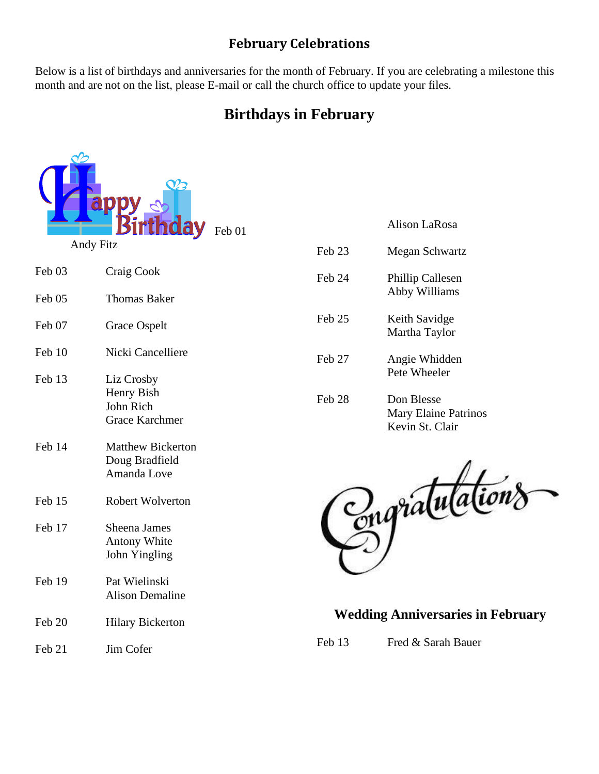#### **February Celebrations**

Below is a list of birthdays and anniversaries for the month of February. If you are celebrating a milestone this month and are not on the list, please E-mail or call the church office to update your files.

#### **Birthdays in February**

| <b>Andy Fitz</b>  | ppy<br>Birthday                                                | Feb 01 |
|-------------------|----------------------------------------------------------------|--------|
| Feb <sub>03</sub> | Craig Cook                                                     |        |
| Feb <sub>05</sub> | <b>Thomas Baker</b>                                            |        |
| Feb 07            | <b>Grace Ospelt</b>                                            |        |
| Feb 10            | Nicki Cancelliere                                              |        |
| Feb 13            | Liz Crosby<br>Henry Bish<br>John Rich<br><b>Grace Karchmer</b> |        |
| Feb 14            | <b>Matthew Bickerton</b><br>Doug Bradfield<br>Amanda Love      |        |
| Feb 15            | <b>Robert Wolverton</b>                                        |        |
| Feb 17            | Sheena James<br><b>Antony White</b><br>John Yingling           |        |
| Feb 19            | Pat Wielinski<br><b>Alison Demaline</b>                        |        |
| Feb 20            | <b>Hilary Bickerton</b>                                        |        |
| Feb 21            | Jim Cofer                                                      |        |

|        | Alison LaRosa                                         |
|--------|-------------------------------------------------------|
| Feb 23 | Megan Schwartz                                        |
| Feb 24 | <b>Phillip Callesen</b><br>Abby Williams              |
| Feb 25 | Keith Savidge<br>Martha Taylor                        |
| Feb 27 | Angie Whidden<br>Pete Wheeler                         |
| Feb 28 | Don Blesse<br>Mary Elaine Patrinos<br>Kevin St. Clair |



#### **Wedding Anniversaries in February**

Feb 13 Fred & Sarah Bauer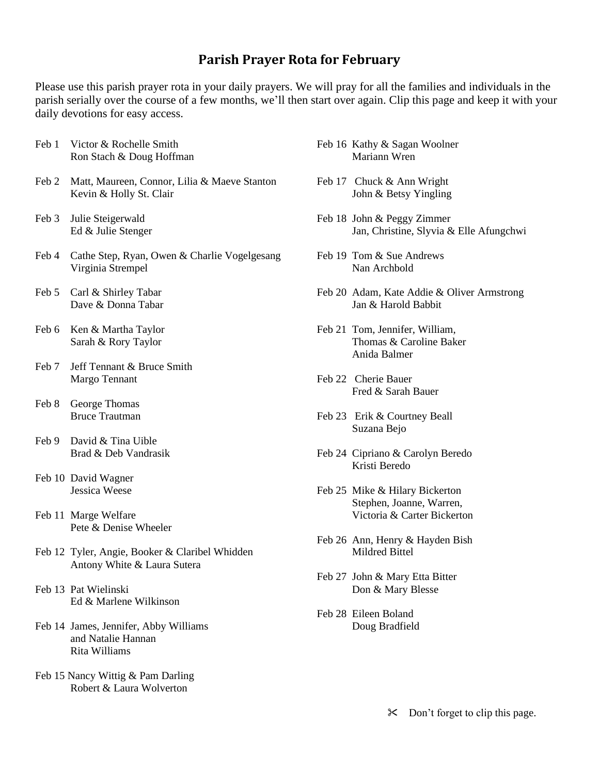#### **Parish Prayer Rota for February**

Please use this parish prayer rota in your daily prayers. We will pray for all the families and individuals in the parish serially over the course of a few months, we'll then start over again. Clip this page and keep it with your daily devotions for easy access.

- Feb 1 Victor & Rochelle Smith Ron Stach & Doug Hoffman
- Feb 2 Matt, Maureen, Connor, Lilia & Maeve Stanton Kevin & Holly St. Clair
- Feb 3 Julie Steigerwald Ed & Julie Stenger
- Feb 4 Cathe Step, Ryan, Owen & Charlie Vogelgesang Virginia Strempel
- Feb 5 Carl & Shirley Tabar Dave & Donna Tabar
- Feb 6 Ken & Martha Taylor Sarah & Rory Taylor
- Feb 7 Jeff Tennant & Bruce Smith Margo Tennant
- Feb 8 George Thomas Bruce Trautman
- Feb 9 David & Tina Uible Brad & Deb Vandrasik
- Feb 10 David Wagner Jessica Weese
- Feb 11 Marge Welfare Pete & Denise Wheeler
- Feb 12 Tyler, Angie, Booker & Claribel Whidden Antony White & Laura Sutera
- Feb 13 Pat Wielinski Ed & Marlene Wilkinson
- Feb 14 James, Jennifer, Abby Williams and Natalie Hannan Rita Williams
- Feb 15 Nancy Wittig & Pam Darling Robert & Laura Wolverton
- Feb 16 Kathy & Sagan Woolner Mariann Wren
- Feb 17 Chuck & Ann Wright John & Betsy Yingling
- Feb 18 John & Peggy Zimmer Jan, Christine, Slyvia & Elle Afungchwi
- Feb 19 Tom & Sue Andrews Nan Archbold
- Feb 20 Adam, Kate Addie & Oliver Armstrong Jan & Harold Babbit
- Feb 21 Tom, Jennifer, William, Thomas & Caroline Baker Anida Balmer
- Feb 22 Cherie Bauer Fred & Sarah Bauer
- Feb 23 Erik & Courtney Beall Suzana Bejo
- Feb 24 Cipriano & Carolyn Beredo Kristi Beredo
- Feb 25 Mike & Hilary Bickerton Stephen, Joanne, Warren, Victoria & Carter Bickerton
- Feb 26 Ann, Henry & Hayden Bish Mildred Bittel
- Feb 27 John & Mary Etta Bitter Don & Mary Blesse
- Feb 28 Eileen Boland Doug Bradfield